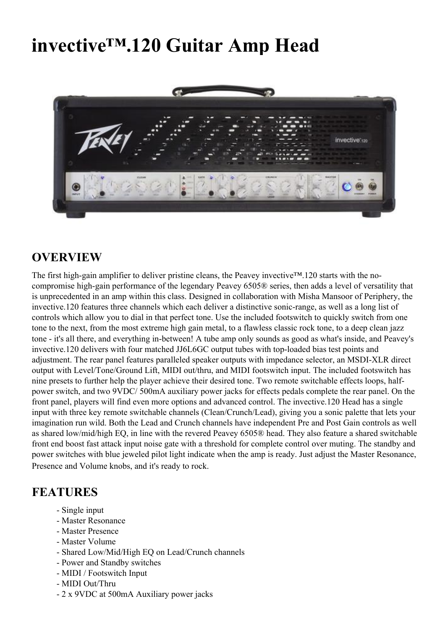## **invective™.120 Guitar Amp Head**



## **OVERVIEW**

The first high-gain amplifier to deliver pristine cleans, the Peavey invective™.120 starts with the nocompromise high-gain performance of the legendary Peavey 6505® series, then adds a level of versatility that is unprecedented in an amp within this class. Designed in collaboration with Misha Mansoor of Periphery, the invective.120 features three channels which each deliver a distinctive sonic-range, as well as a long list of controls which allow you to dial in that perfect tone. Use the included footswitch to quickly switch from one tone to the next, from the most extreme high gain metal, to a flawless classic rock tone, to a deep clean jazz tone - it's all there, and everything in-between! A tube amp only sounds as good as what's inside, and Peavey's invective.120 delivers with four matched JJ6L6GC output tubes with top-loaded bias test points and adjustment. The rear panel features paralleled speaker outputs with impedance selector, an MSDI-XLR direct output with Level/Tone/Ground Lift, MIDI out/thru, and MIDI footswitch input. The included footswitch has nine presets to further help the player achieve their desired tone. Two remote switchable effects loops, halfpower switch, and two 9VDC/ 500mA auxiliary power jacks for effects pedals complete the rear panel. On the front panel, players will find even more options and advanced control. The invective.120 Head has a single input with three key remote switchable channels (Clean/Crunch/Lead), giving you a sonic palette that lets your imagination run wild. Both the Lead and Crunch channels have independent Pre and Post Gain controls as well as shared low/mid/high EQ, in line with the revered Peavey 6505® head. They also feature a shared switchable front end boost fast attack input noise gate with a threshold for complete control over muting. The standby and power switches with blue jeweled pilot light indicate when the amp is ready. Just adjust the Master Resonance, Presence and Volume knobs, and it's ready to rock.

## **FEATURES**

- Single input
- Master Resonance
- Master Presence
- Master Volume
- Shared Low/Mid/High EQ on Lead/Crunch channels
- Power and Standby switches
- MIDI / Footswitch Input
- MIDI Out/Thru
- 2 x 9VDC at 500mA Auxiliary power jacks